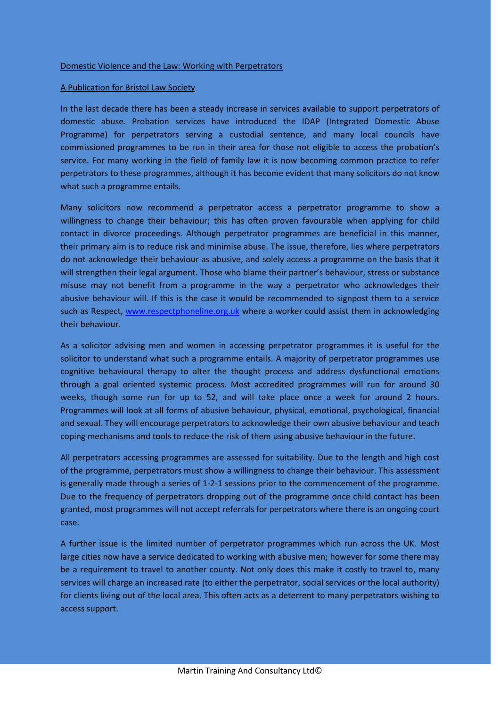## A Publication for Bristol Law Society

In the last decade there has been a steady increase in services available to support perpetrators of domestic abuse. Probation services have introduced the IDAP (Integrated Domestic Abuse Programme) for perpetrators serving a custodial sentence, and many local councils have commissioned programmes to be run in their area for those not eligible to access the probation's service. For many working in the field of family law it is now becoming common practice to refer perpetrators to these programmes, although it has become evident that many solicitors do not know what such a programme entails.

Many solicitors now recommend a perpetrator access a perpetrator programme to show a willingness to change their behaviour; this has often proven favourable when applying for child contact in divorce proceedings. Although perpetrator programmes are beneficial in this manner, their primary aim is to reduce risk and minimise abuse. The issue, therefore, lies where perpetrators do not acknowledge their behaviour as abusive, and solely access a programme on the basis that it will strengthen their legal argument. Those who blame their partner's behaviour, stress or substance misuse may not benefit from a programme in the way a perpetrator who acknowledges their abusive behaviour will. If this is the case it would be recommended to signpost them to a service such as Respect, [www.respectphoneline.org.uk](http://www.respectphoneline.org.uk/) where a worker could assist them in acknowledging their behaviour.

As a solicitor advising men and women in accessing perpetrator programmes it is useful for the solicitor to understand what such a programme entails. A majority of perpetrator programmes use cognitive behavioural therapy to alter the thought process and address dysfunctional emotions through a goal oriented systemic process. Most accredited programmes will run for around 30 weeks, though some run for up to 52, and will take place once a week for around 2 hours. Programmes will look at all forms of abusive behaviour, physical, emotional, psychological, financial and sexual. They will encourage perpetrators to acknowledge their own abusive behaviour and teach coping mechanisms and tools to reduce the risk of them using abusive behaviour in the future.

All perpetrators accessing programmes are assessed for suitability. Due to the length and high cost of the programme, perpetrators must show a willingness to change their behaviour. This assessment is generally made through a series of 1-2-1 sessions prior to the commencement of the programme. Due to the frequency of perpetrators dropping out of the programme once child contact has been granted, most programmes will not accept referrals for perpetrators where there is an ongoing court case.

A further issue is the limited number of perpetrator programmes which run across the UK. Most large cities now have a service dedicated to working with abusive men; however for some there may be a requirement to travel to another county. Not only does this make it costly to travel to, many services will charge an increased rate (to either the perpetrator, social services or the local authority) for clients living out of the local area. This often acts as a deterrent to many perpetrators wishing to access support.